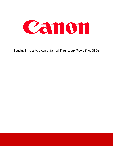

Sending images to a computer (Wi-Fi function) (PowerShot G3 X)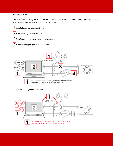# Getting Started

The procedure for using the Wi-Fi function to send images from a camera to a computer is explained in the following four steps. Proceed in order from Step 1.

 $\boxed{1}$ Step 1: Preparing necessary items

- **2** Step 2: Setting up the computer
- **3** Step 3: Connecting the camera to the computer

 $\vert 4\vert$ Step 4: Sending images to the computer



Step 1: Preparing necessary items

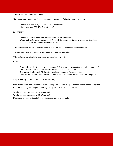1. Check the computer's requirements.

The camera can connect via Wi-Fi to computers running the following operating systems.

- Windows: Windows 8 / 8.1, Windows 7 Service Pack 1
- Macintosh: Mac OS X 10.8.2 or later, 10.9

### IMPORTANT

- Windows 7 Starter and Home Basic editions are not supported.
- Windows 7 N (European version) and KN (South Korean version) require a separate download and installation of Windows Media Feature Pack.

2. Confirm that an access point base unit (Wi-Fi router, etc.) is connected to the computer.

3. Make sure that the included CameraWindow\* software is installed.

\*The software is available for download from the Canon website.

### NOTE

- A router is a device that creates a network (LAN) structure for connecting multiple computers. A router that contains an internal Wi-Fi function is called a "Wi-Fi router".
- This page will refer to all Wi-Fi routers and base stations as "access points".
- When unsure of your computer setup, refer to the user manual provided with the computer.

Step 2: Setting up the computer (Windows only)

Even if your computer is connected to an access point, sending images from the camera to the computer requires changing the computer's settings. The procedure is explained below.

Windows 7 users, proceed to 2A: Windows 7 Windows 8 users, proceed to 2B: Windows 8 Mac users, proceed to Step 3: Connecting the camera to a computer.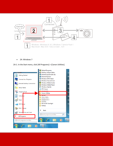

• 2A: Windows 7

2A-1. In the Start menu, click [All Programs] > [Canon Utilities].

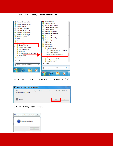2A-2. Click [CameraWindow] > [Wi-Fi connection setup].



2A-3. A screen similar to the one below will be displayed. Click [Yes].



2A-4. The following screen appears.

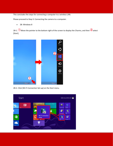This concludes the steps for connecting a computer to a wireless LAN.

Please proceed to Step 3: Connecting the camera to a computer.

• 2B: Windows 8

2B-1.  $\bigcirc$  Move the pointer to the bottom right of the screen to display the Charms, and then  $\bigcirc$  select [Start].



2B-2. Click [Wi-Fi Connection Set-up] on the Start menu.

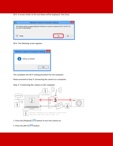2B-3. A screen similar to the one below will be displayed. Click [Yes].



2B-4. The following screen appears.



This completes the Wi-Fi setting procedure for the computer.

Please proceed to Step 3: Connecting the camera to a computer.

### Step 3: Connecting the camera to the computer



- 1. Press the [Playback] ( $\Box$ ) button to turn the camera on.
- 2. Press the [Wi-Fi] ((1)) button.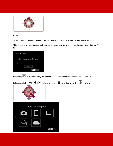

# NOTE

When setting up Wi-Fi for the first time, the camera nickname registration screen will be displayed.

This nickname will be displayed on the screen of target devices when connecting to other devices via Wi-Fi.

| Device Nickname                  |
|----------------------------------|
|                                  |
| Enter a nickname for this camera |
| test                             |
| ОΚ                               |
| <b>MINU</b> Cancel               |

Press the [  $\circ$  ] button to display the keyboard, and use it to enter a nickname for the camera.

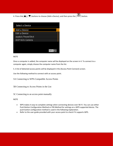4. Press the [ $\triangle$ ], [ $\blacktriangledown$ ] buttons to choose [Add a Device], and then press the [ $\triangle$ ] button.

| Select a Device       |
|-----------------------|
| Add a Device          |
| <b>Edit a Device</b>  |
| osatos PewerShot      |
| <b>DOP1431 Camera</b> |
|                       |
|                       |
| <b>MENU</b>           |

### NOTE

Once a computer is added, the computer name will be displayed on the screen in 4. To connect to a computer again, simply choose the computer name from the list.

5. A list of detected access points will be displayed in the [Access Point Connect] screen.

Use the following method to connect with an access point.

5A Connecting to WPS-Compatible Access Points

5B Connecting to Access Points in the List

5C Connecting to an access point manually

NOTE

- WPS makes it easy to complete settings when connecting devices over Wi-Fi. You can use either Push Button Configuration Method or PIN Method for settings on a WPS supported device. The push button configuration method is used in the following explanation.
- Refer to the user guide provided with your access point to check if it supports WPS.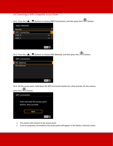5A Connecting to WPS-Compatible Access Points.

5A-1. Press the [ $\Box$ ], [ $\nabla$ ] buttons to choose [WPS Connection], and then press the [ $\Box$ ] button.

| <b>Select Network</b> |                  |
|-----------------------|------------------|
| Refresh               |                  |
| <b>WPS Connection</b> |                  |
| SSID_0                | ᠳ                |
| SSID_1                | ᠳ                |
|                       |                  |
|                       |                  |
|                       | <b>MENU</b><br>ঠ |

5A-2. Press the  $[\triangle]$ ,  $[\nabla]$  buttons to choose [PBC Method], and then press the  $[\triangle]$ ] button.

| <b>WPS Connection</b> |               |
|-----------------------|---------------|
| <b>PBC Method</b>     |               |
| <b>PIN Method</b>     |               |
|                       |               |
|                       |               |
|                       |               |
|                       |               |
|                       | <b>MENU S</b> |

5A-3. On the access point, hold down the WPS connection button for a few seconds. On the camera,  $\binom{9}{2}$  button.

| $P_{1}$ case the $1$ $\rightarrow$ $1$ of the state $P_{2}$ |                                                        |           |
|-------------------------------------------------------------|--------------------------------------------------------|-----------|
| <b>WPS Connection</b>                                       |                                                        |           |
|                                                             | Push and hold the access point<br>button, then proceed |           |
|                                                             | <b>Next</b>                                            |           |
|                                                             |                                                        | MENU<br>↰ |

- The camera will connect to the access point.
- A list of computers connected to the access point will appear in the [Select a Device] screen.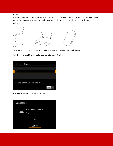## NOTE

A WPS connection button is affixed to your access point (Wireless LAN, router, etc.). For further details on the location and how many seconds to press it, refer to the user guide included with your access point.



5A-4. When a connectible device is found, a screen like the one below will appear.

Touch the name of the computer you want to connect with.

| Select a Device             |  |
|-----------------------------|--|
| Refresh                     |  |
| ID <sub>1</sub>             |  |
|                             |  |
|                             |  |
| Select device to connect to |  |

A screen like the one below will appear.

| Connecting |                             |
|------------|-----------------------------|
|            | Connected device:<br>$ID_1$ |
|            |                             |
|            | Cancel                      |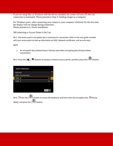If you are using Mac or Windows with the drivers installed, the screen will turn off after the connection is terminated. Please proceed to Step 4: Sending images to a computer.

For Windows users, when connecting your camera to your computer wirelessly for the first time, the display will not change during connection. Please proceed to 6. Driver Installation.

5BConnecting to Access Points in the List

5B-1. The access point's encryption key is necessary for connection. Refer to the user guide included with your access point to look up information on SSID, Network certificates, and security keys.

NOTE

• An encryption key (network key) is the key used when encrypting data during wireless transmission.

5B-2. Press the  $[\triangle]$ ,  $[\nabla]$  buttons to choose a network (access point), and then press the  $[\triangle]$  button.

| <b>Select Network</b> |                  |
|-----------------------|------------------|
| Refresh               |                  |
| <b>WPS Connection</b> |                  |
| SSID_0                | $_{\rm o-m}$     |
| SSID_1                | ๛                |
|                       |                  |
|                       |                  |
|                       | <b>MENU</b><br>↽ |

5B-3. **O**Press the [  $\bigcirc$  ] button to access the keyboard, and then enter the encryption key, **2**Choose [Next], and press the  $\left[\begin{matrix} \circledR \ \circledR \end{matrix}\right]$  button.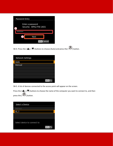| Password Entry                               |
|----------------------------------------------|
| Enter a password<br>Security: WPA2-PSK (AES) |
|                                              |
| <b>Next</b>                                  |
| <b>MENU</b> Cancel                           |

5B-4. Press the [ $\Box$ ], [ $\nabla$ ] buttons to choose [Auto] and press the [ $\Box$ ] button.

| <b>Network Settings</b> |        |
|-------------------------|--------|
| Auto                    |        |
| Manual                  |        |
|                         |        |
|                         |        |
|                         |        |
|                         |        |
|                         | MENU 5 |

5B-5. A list of devices connected to the access point will appear on the screen.

Press the  $[\triangle]$ ,  $[\nabla]$  buttons to choose the name of the computer you want to connect to, and then press the  $[\begin{matrix}\blacksquare \\ \blacksquare \end{matrix}]$  button.

| Select a Device             |     |
|-----------------------------|-----|
| Refresh                     |     |
| ID_1                        |     |
|                             |     |
|                             |     |
| Select device to connect to | MEN |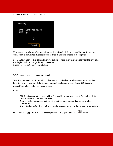A screen like the one below will appear.

| Connecting |                             |  |
|------------|-----------------------------|--|
|            | Connected device:<br>$ID_1$ |  |
|            |                             |  |
|            | Cancel                      |  |

If you are using Mac or Windows with the drivers installed, the screen will turn off after the connection is terminated. Please proceed to Step 4: Sending images to a computer.

For Windows users, when connecting your camera to your computer wirelessly for the first time, the display will not change during connection. Please proceed to 6. Driver Installation.

5C Connecting to an access point manually.

5C-1. The access point's SSID, security method, and encryption key are all necessary for connection. Refer to the user guide included with your access point to look up information on SSID, Security method/encryption method, and security keys.

NOTE

- SSID-Numbers and letters used to identify a specific existing access point. This is also called the "access point name" or "network name".
- Security method/encryption method is the method for encrypting data during wireless transmission.
- Encryption key (network key) is the key used when encrypting data during wireless transmission.

5C-2. Press the  $[\triangle]$ ,  $[\nabla]$  buttons to choose [Manual Settings] and press the  $[\triangle]$ ] button.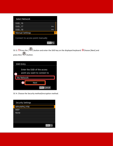| <b>Select Network</b>            |               |
|----------------------------------|---------------|
| SSID_16                          |               |
| SSID_17                          |               |
| SSID_18                          |               |
| <b>Manual Settings</b>           |               |
| Connect to access point manually | <b>MENU S</b> |
|                                  |               |
| <b>AND</b>                       |               |

5C-3. **O**Press the [  $\left(\frac{1}{2}\right)$  button and enter the SSID key on the displayed keyboard. **2** Choose [Next] and press the  $[\begin{matrix}\blacksquare \\ \blacksquare \end{matrix}]$  button.

| <b>SSID Entry</b>                                            |
|--------------------------------------------------------------|
| Enter the SSID of the access<br>point you want to connect to |
| My Network                                                   |
| <b>Next</b>                                                  |
| <b>MENU</b> Cancel                                           |

5C-4. Choose the Security method/encryption method.

| <b>Security Settings</b> |             |
|--------------------------|-------------|
| WPA/WPA2-PSK             |             |
| <b>WEP</b>               |             |
| None                     |             |
|                          |             |
|                          |             |
|                          |             |
|                          | <b>MENU</b> |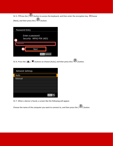5C-5. **O**Press the [  $\bigcirc$  ] button to access the keyboard, and then enter the encryption key. **2** Choose [Next], and then press the [ ] button.

| Password Entry                               |
|----------------------------------------------|
| Enter a password<br>Security: WPA2-PSK (AES) |
|                                              |
| <b>Next</b>                                  |
| <b>MENU</b> Cancel                           |

5C-6. Press the [ $\blacktriangle$ ], [ $\blacktriangledown$ ] buttons to choose [Auto], and then press the [ $\binom{[2]}{[2]}$  button.

| <b>Network Settings</b> |             |
|-------------------------|-------------|
| Auto                    |             |
| Manual                  |             |
|                         |             |
|                         |             |
|                         |             |
|                         |             |
|                         | <b>MENU</b> |

5C-7. When a device is found, a screen like the following will appear.

Choose the name of the computer you want to connect to, and then press the  $\begin{bmatrix} \begin{matrix} 0 \\ 0 \end{matrix} \end{bmatrix}$  button.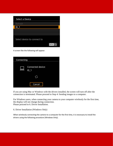| Select a Device             |                  |
|-----------------------------|------------------|
| Refresh                     |                  |
| $ID_1$                      |                  |
|                             |                  |
|                             |                  |
| Select device to connect to |                  |
|                             | <b>MENU</b><br>ঠ |

A screen like the following will appear.

| Connecting |                             |  |  |
|------------|-----------------------------|--|--|
|            | Connected device:<br>$ID_1$ |  |  |
|            |                             |  |  |
|            | Cancel                      |  |  |

If you are using Mac or Windows with the drivers installed, the screen will turn off after the connection is terminated. Please proceed to Step 4: Sending images to a computer.

For Windows users, when connecting your camera to your computer wirelessly for the first time, the display will not change during connection. Please proceed to 6. Driver Installation.

6. Driver Installation (Windows Only)

When wirelessly connecting the camera to a computer for the first time, it is necessary to install the drivers using the following procedure (Windows Only).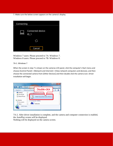7. Make sure the below screen appears on the camera's display.

| Connecting |                             |  |  |
|------------|-----------------------------|--|--|
|            | Connected device:<br>$ID_1$ |  |  |
|            |                             |  |  |
|            | Cancel                      |  |  |

Windows 7 users: Please proceed to 7A: Windows 7. Windows 8 users: Please proceed to 7B: Windows 8.

### 7A-1. Windows 7

When the screen in step 7 is shown on the cameras LCD panel, click the computer's Start menu and choose [Control Panel] > [Network and Internet] > [View network computers and devices], and then choose the connected camera from [Other Devices] and then double click the camera icon. Driver installation will begin.

| - Gu +                                                            | Network »           | $\sigma$ . And $\sigma$ . The set of $\sigma$ | Ω |
|-------------------------------------------------------------------|---------------------|-----------------------------------------------|---|
| Organize <b>*</b>                                                 | Network and Sharing | Double-click                                  |   |
| <b>Desktop</b><br><b>B.</b> Downloads<br><b>ELI Recent Places</b> |                     | (1)<br>Canon                                  |   |
| <b>Libraries</b><br>- Documents<br>Music                          |                     | Computer (5991)<br>0008AK04                   |   |
| 6,002 items                                                       |                     |                                               |   |

7A-2. After driver installation is complete, and the camera and computer connection is enabled, the AutoPlay screen will be displayed.

Nothing will be displayed on the camera screen.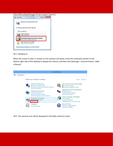#### Click [Download Images From Canon Camera].



#### 7B-1. Windows 8

When the screen in step 7 is shown on the cameras LCD panel, move the computers pointer to the bottom right side of the desktop to display the Charms, and then click [Settings] > [Control Panel] > [Add a Device].



7B-2. The cameras icon will be displayed in the [Add a device] screen.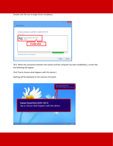Double-click the icon to begin driver installation.

| -<br>Add a device<br>Choose a device or printer to add to this PC<br>Select a device<br>Canon | ×      |
|-----------------------------------------------------------------------------------------------|--------|
| `amera<br>Double-click                                                                        |        |
| Not finding what you are looking for?<br>Next                                                 | Cancel |

7B-3. When the connection between the camera and the computer has been established, a screen like the following will appear.

Click [Tap to choose what happens with this device.]

Nothing will be displayed on the cameras LCD panel.

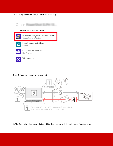7B-4. Click [Downloads images from Canon camera].



Step 4: Sending images to the computer



1. The CameraWindow menu window will be displayed, so click [Import Images from Camera].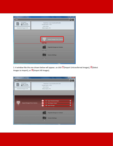| Canon Utilities CameraWindow DC                                                              | ۰<br>×<br>- 1                                                                                                   |
|----------------------------------------------------------------------------------------------|-----------------------------------------------------------------------------------------------------------------|
| Menu                                                                                         | $\bullet$                                                                                                       |
| Card Capacity:<br>564 MB / 3.74 GB<br>$\blacksquare$ - SHIBRE<br>Untransferred Images: 20/20 | Model Name: Canon PowerShot ELPH 130 IS<br>Firmware Version: 1.0.0.0<br>Owner's Name:<br>Battery Capacity: Full |
|                                                                                              |                                                                                                                 |
|                                                                                              | <b>Import Images from Camera</b>                                                                                |
|                                                                                              | Organize Images on Camera                                                                                       |
|                                                                                              | <b>Camera Settings</b><br>--                                                                                    |
|                                                                                              |                                                                                                                 |

2. A window like the one shown below will appear, so click  $\bigcirc$  [Import Untransferred Images],  $\bigcirc$  [Select Images to Import], or  $\mathbf{I}$ [Import All Images].

| Canon Utilities CameraWindow DC                                                            |                                                                                                                     |             |                                                                                               | accord three of                     |
|--------------------------------------------------------------------------------------------|---------------------------------------------------------------------------------------------------------------------|-------------|-----------------------------------------------------------------------------------------------|-------------------------------------|
| Menu                                                                                       |                                                                                                                     |             |                                                                                               |                                     |
| Card Capacity:<br>564 MB / 3.74 GB<br><b>IIII</b> Hassacumum<br>Untramferred Images: 20/20 | Model Name: Canon PowerShot EUPH 13015<br>Firmware Version: 10.00<br>Owner's Name:<br><b>Battery Capacity: Full</b> |             |                                                                                               |                                     |
| <b>Import Images from Camera</b>                                                           |                                                                                                                     | ❶<br>0<br>з | [1] Import Untransferred Images<br>Z Select Images to Import<br><b>Hill Import All Images</b> | $\bullet$<br>$\bullet$<br>$\bullet$ |
|                                                                                            |                                                                                                                     |             | <b>Organize Images on Camera</b><br><b>Camera Settings</b>                                    |                                     |
|                                                                                            |                                                                                                                     |             |                                                                                               |                                     |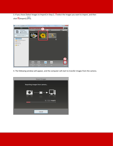3. If you chose [Select Images to Import] in Step 2,  $\overline{0}$  select the images you want to import, and then click  $\mathcal{Q}$ [Import] ( $\boxed{\Box}$ ).



4. The following window will appear, and the computer will start to transfer images from the camera.

| <b>Import Images</b>         |
|------------------------------|
| Importing images from camera |
| ◘▒▒▒▒                        |
| 3 image(s)                   |
| Cancel                       |